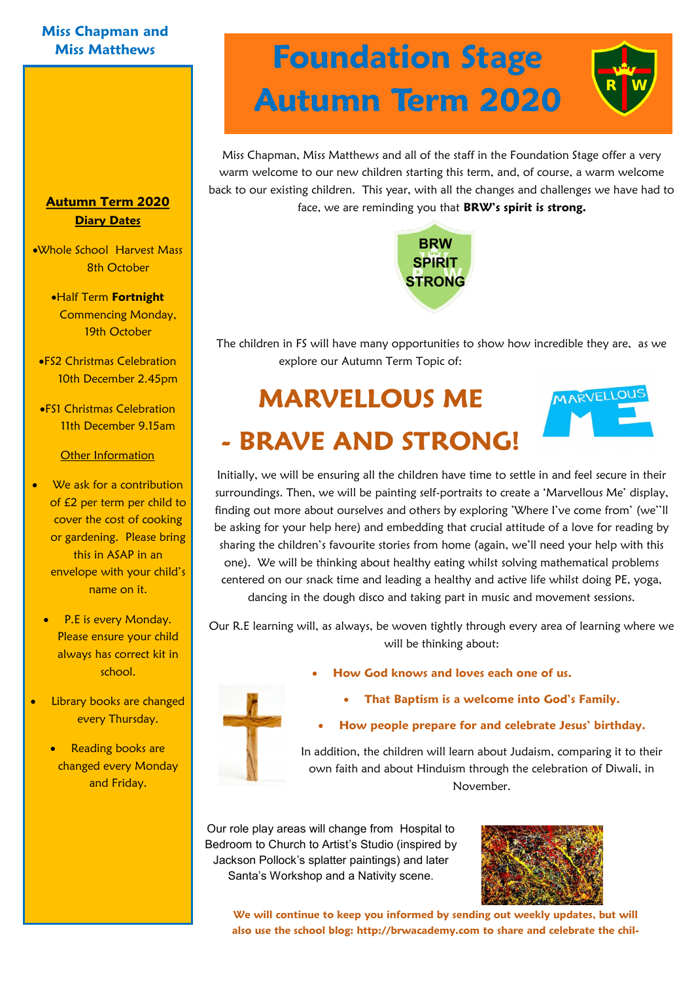### **Miss Chapman and**

### **Autumn Term 2020 Diary Dates**

Whole School Harvest Mass 8th October

- Half Term **Fortnight**  Commencing Monday, 19th October
- FS2 Christmas Celebration 10th December 2.45pm
- FS1 Christmas Celebration 11th December 9.15am

### Other Information

- We ask for a contribution of £2 per term per child to cover the cost of cooking or gardening. Please bring this in ASAP in an envelope with your child's name on it.
	- P.E is every Monday. Please ensure your child always has correct kit in school.
- Library books are changed every Thursday.
	- **Reading books are** changed every Monday and Friday.

## **Miss Matthews Foundation Stage Autumn Term 2020**

Miss Chapman, Miss Matthews and all of the staff in the Foundation Stage offer a very warm welcome to our new children starting this term, and, of course, a warm welcome back to our existing children. This year, with all the changes and challenges we have had to face, we are reminding you that **BRW's spirit is strong.**



The children in FS will have many opportunities to show how incredible they are, as we explore our Autumn Term Topic of:

# **MARVELLOUS ME**



## **- BRAVE AND STRONG!**

Initially, we will be ensuring all the children have time to settle in and feel secure in their surroundings. Then, we will be painting self-portraits to create a 'Marvellous Me' display, finding out more about ourselves and others by exploring 'Where I've come from' (we''ll be asking for your help here) and embedding that crucial attitude of a love for reading by sharing the children's favourite stories from home (again, we'll need your help with this one). We will be thinking about healthy eating whilst solving mathematical problems centered on our snack time and leading a healthy and active life whilst doing PE, yoga, dancing in the dough disco and taking part in music and movement sessions.

Our R.E learning will, as always, be woven tightly through every area of learning where we will be thinking about:



- **How God knows and loves each one of us.** 
	- **That Baptism is a welcome into God's Family.**

### **How people prepare for and celebrate Jesus' birthday.**

In addition, the children will learn about Judaism, comparing it to their own faith and about Hinduism through the celebration of Diwali, in November.

Our role play areas will change from Hospital to Bedroom to Church to Artist's Studio (inspired by Jackson Pollock's splatter paintings) and later Santa's Workshop and a Nativity scene.



**We will continue to keep you informed by sending out weekly updates, but will also use the school blog: http://brwacademy.com to share and celebrate the chil-**